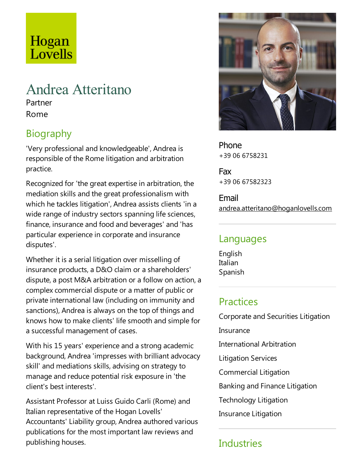# Hogan Lovells

## Andrea Atteritano

Partner Rome

## Biography

'Very professional and knowledgeable', Andrea is responsible of the Rome litigation and arbitration practice.

Recognized for 'the great expertise in arbitration, the mediation skills and the great professionalism with which he tackles litigation', Andrea assists clients 'in a wide range of industry sectors spanning life sciences, finance, insurance and food and beverages' and 'has particular experience in corporate and insurance disputes'.

Whether it is a serial litigation over misselling of insurance products, a D&O claim or a shareholders' dispute, a post M&A arbitration or a follow on action, a complex commercial dispute or a matter of public or private international law (including on immunity and sanctions), Andrea is always on the top of things and knows how to make clients' life smooth and simple for a successful management of cases.

With his 15 years' experience and a strong academic background, Andrea 'impresses with brilliant advocacy skill' and mediations skills, advising on strategy to manage and reduce potential risk exposure in 'the client's best interests'.

Assistant Professor at Luiss Guido Carli (Rome) and Italian representative of the Hogan Lovells' Accountants' Liability group, Andrea authored various publications for the most important law reviews and publishing houses.



Phone +39 06 6758231

Fax +39 06 67582323

Email andrea.atteritano@hoganlovells.com

#### Languages

English Italian Spanish

#### **Practices**

Corporate and Securities Litigation **Insurance** International Arbitration Litigation Services Commercial Litigation Banking and Finance Litigation Technology Litigation

Insurance Litigation

## **Industries**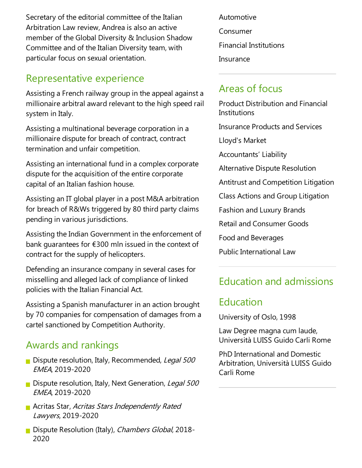Secretary of the editorial committee of the Italian Arbitration Law review, Andrea is also an active member of the Global Diversity & Inclusion Shadow Committee and of the Italian Diversity team, with particular focus on sexual orientation.

#### Representative experience

Assisting a French railway group in the appeal against a millionaire arbitral award relevant to the high speed rail system in Italy.

Assisting a multinational beverage corporation in a millionaire dispute for breach of contract, contract termination and unfair competition.

Assisting an international fund in acomplex corporate dispute for the acquisition of the entire corporate capital of an Italian fashion house.

Assisting an IT global player in a post M&A arbitration for breach of R&Ws triggered by 80 third party claims pending in various jurisdictions.

Assisting the Indian Government in the enforcement of bank guarantees for  $£300$  mln issued in the context of contract for the supply of helicopters.

Defending an insurance company in several cases for misselling and alleged lack of compliance of linked policies with the Italian Financial Act.

Assisting a Spanish manufacturer in an action brought by 70 companies for compensation of damages from a cartel sanctioned by Competition Authority.

#### Awards and rankings

- Dispute resolution, Italy, Recommended, Legal 500 EMEA, 2019-2020
- Dispute resolution, Italy, Next Generation, Legal 500 EMEA, 2019-2020
- **Acritas Star, Acritas Stars Independently Rated** Lawyers, 2019-2020
- Dispute Resolution (Italy), Chambers Global, 2018-2020

Automotive Consumer Financial Institutions Insurance

## Areas of focus

Education and admissions Product Distribution and Financial **Institutions** Insurance Products and Services Lloyd's Market Accountants' Liability Alternative Dispute Resolution Antitrust and Competition Litigation Class Actions and Group Litigation Fashion and Luxury Brands Retail and Consumer Goods Food and Beverages Public International Law

#### **Education**

University of Oslo, 1998

Law Degree magna cum laude, Università LUISS Guido Carli Rome

PhD International and Domestic Arbitration, Università LUISS Guido Carli Rome